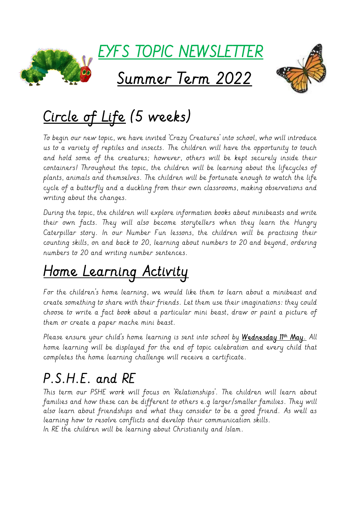

## Circle of Life (5 weeks)

To begin our new topic, we have invited 'Crazy Creatures' into school, who will introduce us to a variety of reptiles and insects. The children will have the opportunity to touch and hold some of the creatures; however, others will be kept securely inside their containers! Throughout the topic, the children will be learning about the lifecycles of plants, animals and themselves. The children will be fortunate enough to watch the life cycle of a butterfly and a duckling from their own classrooms, making observations and writing about the changes.

During the topic, the children will explore information books about minibeasts and write their own facts. They will also become storytellers when they learn the Hungry Caterpillar story. In our Number Fun lessons, the children will be practising their counting skills, on and back to 20, learning about numbers to 20 and beyond, ordering numbers to 20 and writing number sentences.

# Home Learning Activity

For the children's home learning, we would like them to learn about a minibeast and create something to share with their friends. Let them use their imaginations: they could choose to write a fact book about a particular mini beast, draw or paint a picture of them or create a paper mache mini beast.

Please ensure your child's home learning is sent into school by <u>We**dnesday 11<sup>th</sup> May**.</u> All home learning will be displayed for the end of topic celebration and every child that completes the home learning challenge will receive a certificate.

#### P.S.H.E. and RE

This term our PSHE work will focus on 'Relationships'. The children will learn about families and how these can be different to others e.g larger/smaller families. They will also learn about friendships and what they consider to be a good friend. As well as learning how to resolve conflicts and develop their communication skills. In RE the children will be learning about Christianity and Islam.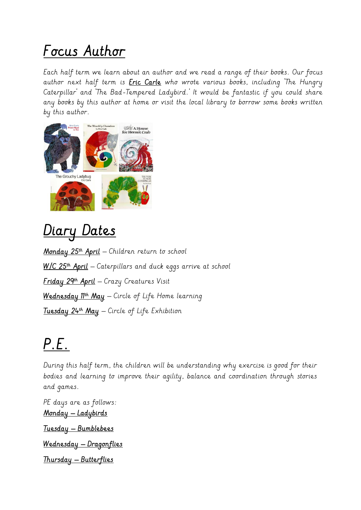### Focus Author

Each half term we learn about an author and we read a range of their books. Our focus author next half term is *Eric Carle* who wrote various books, including The Hungry Caterpillar' and 'The Bad-Tempered Ladybird.' It would be fantastic if you could share any books by this author at home or visit the local library to borrow some books written by this author.



Diary Dates

<mark>Monday 25th April</mark> — Children return to school <u>W/C 25th **April**</u> — Caterpillars and duck eggs arrive at school <mark>f riday 29th April</mark> — Crazy Creatures Visit Wednesday 11th May – Circle of Life Home learning <u>I**uesday 24th May** — Circle of Lif</u>e Exhibition

### P.E.

During this half term, the children will be understanding why exercise is good for their bodies and learning to improve their agility, balance and coordination through stories and games.

PE days are as follows: Monday – Ladybirds Tuesday – Bumblebees Wednesday – Dragonflies Thursday – Butterflies